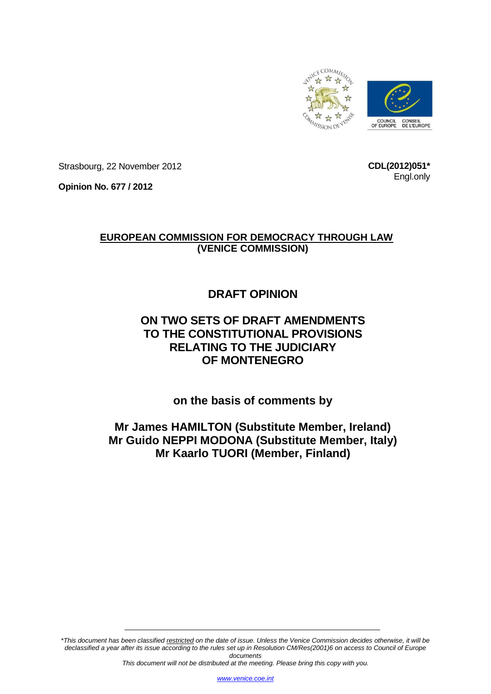

Strasbourg, 22 November 2012

**CDL(2012)051\*** Engl.only

**Opinion No. 677 / 2012**

# **EUROPEAN COMMISSION FOR DEMOCRACY THROUGH LAW (VENICE COMMISSION)**

# **DRAFT OPINION**

# **ON TWO SETS OF DRAFT AMENDMENTS TO THE CONSTITUTIONAL PROVISIONS RELATING TO THE JUDICIARY OF MONTENEGRO**

**on the basis of comments by**

**Mr James HAMILTON (Substitute Member, Ireland) Mr Guido NEPPI MODONA (Substitute Member, Italy) Mr Kaarlo TUORI (Member, Finland)**

*\*This document has been classified restricted on the date of issue. Unless the Venice Commission decides otherwise, it will be declassified a year after its issue according to the rules set up in Resolution CM/Res(2001)6 on access to Council of Europe documents*

*This document will not be distributed at the meeting. Please bring this copy with you.*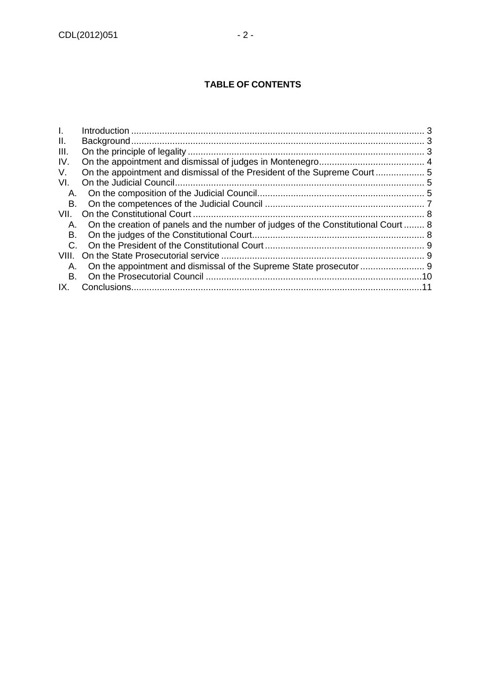| L.          |                                                                                      |  |
|-------------|--------------------------------------------------------------------------------------|--|
| Ш.          |                                                                                      |  |
| III.        |                                                                                      |  |
| IV.         |                                                                                      |  |
| V.          |                                                                                      |  |
| VI.         |                                                                                      |  |
| A.          |                                                                                      |  |
| В.          |                                                                                      |  |
| VII.        |                                                                                      |  |
|             | A. On the creation of panels and the number of judges of the Constitutional Court  8 |  |
| В.          |                                                                                      |  |
| $C_{\cdot}$ |                                                                                      |  |
|             |                                                                                      |  |
| А.          | On the appointment and dismissal of the Supreme State prosecutor  9                  |  |
| В.          |                                                                                      |  |
| IX.         |                                                                                      |  |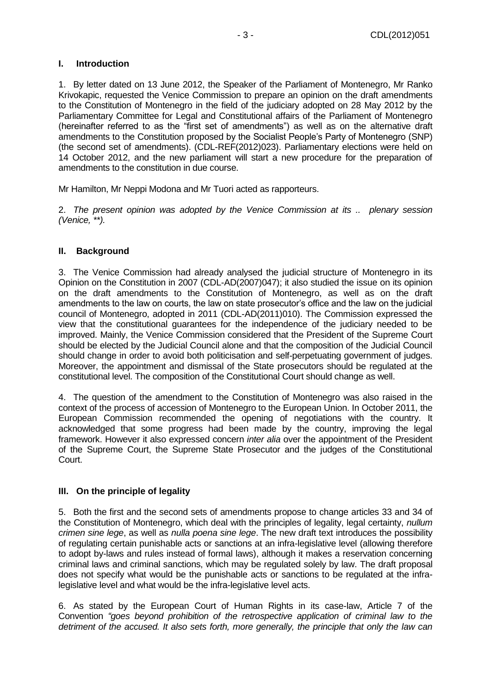## <span id="page-2-0"></span>**I. Introduction**

1. By letter dated on 13 June 2012, the Speaker of the Parliament of Montenegro, Mr Ranko Krivokapic, requested the Venice Commission to prepare an opinion on the draft amendments to the Constitution of Montenegro in the field of the judiciary adopted on 28 May 2012 by the Parliamentary Committee for Legal and Constitutional affairs of the Parliament of Montenegro (hereinafter referred to as the "first set of amendments") as well as on the alternative draft amendments to the Constitution proposed by the Socialist People's Party of Montenegro (SNP) (the second set of amendments). (CDL-REF(2012)023). Parliamentary elections were held on 14 October 2012, and the new parliament will start a new procedure for the preparation of amendments to the constitution in due course.

Mr Hamilton, Mr Neppi Modona and Mr Tuori acted as rapporteurs.

2. *The present opinion was adopted by the Venice Commission at its .. plenary session (Venice, \*\*).*

## <span id="page-2-1"></span>**II. Background**

3. The Venice Commission had already analysed the judicial structure of Montenegro in its Opinion on the Constitution in 2007 (CDL-AD(2007)047); it also studied the issue on its opinion on the draft amendments to the Constitution of Montenegro, as well as on the draft amendments to the law on courts, the law on state prosecutor's office and the law on the judicial council of Montenegro, adopted in 2011 (CDL-AD(2011)010). The Commission expressed the view that the constitutional guarantees for the independence of the judiciary needed to be improved. Mainly, the Venice Commission considered that the President of the Supreme Court should be elected by the Judicial Council alone and that the composition of the Judicial Council should change in order to avoid both politicisation and self-perpetuating government of judges. Moreover, the appointment and dismissal of the State prosecutors should be regulated at the constitutional level. The composition of the Constitutional Court should change as well.

4. The question of the amendment to the Constitution of Montenegro was also raised in the context of the process of accession of Montenegro to the European Union. In October 2011, the European Commission recommended the opening of negotiations with the country. It acknowledged that some progress had been made by the country, improving the legal framework. However it also expressed concern *inter alia* over the appointment of the President of the Supreme Court, the Supreme State Prosecutor and the judges of the Constitutional Court.

## <span id="page-2-2"></span>**III. On the principle of legality**

5. Both the first and the second sets of amendments propose to change articles 33 and 34 of the Constitution of Montenegro, which deal with the principles of legality, legal certainty, *nullum crimen sine lege*, as well as *nulla poena sine lege*. The new draft text introduces the possibility of regulating certain punishable acts or sanctions at an infra-legislative level (allowing therefore to adopt by-laws and rules instead of formal laws), although it makes a reservation concerning criminal laws and criminal sanctions, which may be regulated solely by law. The draft proposal does not specify what would be the punishable acts or sanctions to be regulated at the infralegislative level and what would be the infra-legislative level acts.

6. As stated by the European Court of Human Rights in its case-law, Article 7 of the Convention *"goes beyond prohibition of the retrospective application of criminal law to the detriment of the accused. It also sets forth, more generally, the principle that only the law can*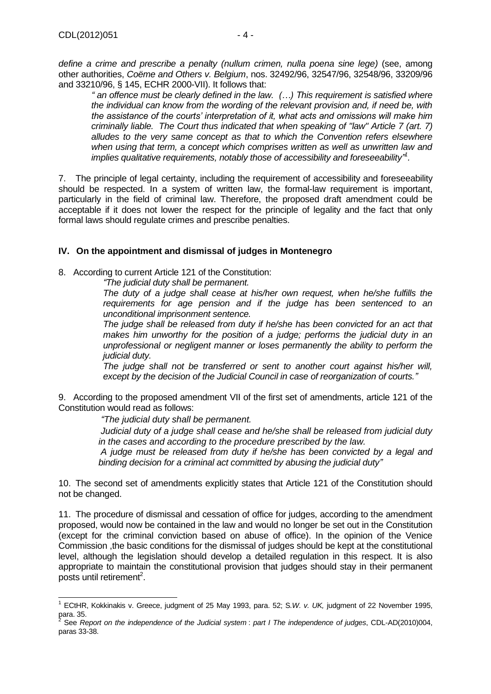*define a crime and prescribe a penalty (nullum crimen, nulla poena sine lege)* (see, among other authorities, *Coëme and Others v. Belgium*, nos. 32492/96, 32547/96, 32548/96, 33209/96 and 33210/96, § 145, ECHR 2000-VII). It follows that:

*" an offence must be clearly defined in the law. (…) This requirement is satisfied where the individual can know from the wording of the relevant provision and, if need be, with the assistance of the courts' interpretation of it, what acts and omissions will make him criminally liable. The Court thus indicated that when speaking of "law" Article 7 (art. 7) alludes to the very same concept as that to which the Convention refers elsewhere when using that term, a concept which comprises written as well as unwritten law and*  implies qualitative requirements, notably those of accessibility and foreseeability<sup>"1</sup>.

7. The principle of legal certainty, including the requirement of accessibility and foreseeability should be respected. In a system of written law, the formal-law requirement is important, particularly in the field of criminal law. Therefore, the proposed draft amendment could be acceptable if it does not lower the respect for the principle of legality and the fact that only formal laws should regulate crimes and prescribe penalties.

## <span id="page-3-0"></span>**IV. On the appointment and dismissal of judges in Montenegro**

8. According to current Article 121 of the Constitution:

*"The judicial duty shall be permanent.*

*The duty of a judge shall cease at his/her own request, when he/she fulfills the requirements for age pension and if the judge has been sentenced to an unconditional imprisonment sentence.*

*The judge shall be released from duty if he/she has been convicted for an act that makes him unworthy for the position of a judge; performs the judicial duty in an unprofessional or negligent manner or loses permanently the ability to perform the judicial duty.* 

*The judge shall not be transferred or sent to another court against his/her will, except by the decision of the Judicial Council in case of reorganization of courts."*

9. According to the proposed amendment VII of the first set of amendments, article 121 of the Constitution would read as follows:

*"The judicial duty shall be permanent.*

*Judicial duty of a judge shall cease and he/she shall be released from judicial duty in the cases and according to the procedure prescribed by the law.*

*A judge must be released from duty if he/she has been convicted by a legal and binding decision for a criminal act committed by abusing the judicial duty"*

10. The second set of amendments explicitly states that Article 121 of the Constitution should not be changed.

11. The procedure of dismissal and cessation of office for judges, according to the amendment proposed, would now be contained in the law and would no longer be set out in the Constitution (except for the criminal conviction based on abuse of office). In the opinion of the Venice Commission ,the basic conditions for the dismissal of judges should be kept at the constitutional level, although the legislation should develop a detailed regulation in this respect. It is also appropriate to maintain the constitutional provision that judges should stay in their permanent posts until retirement<sup>2</sup>.

 1 ECtHR, Kokkinakis v. Greece, judgment of 25 May 1993, para. 52; S*.W. v. UK,* judgment of 22 November 1995, para. 35.

<sup>2</sup> See *Report on the independence of the Judicial system* : *part I The independence of judges*, CDL-AD(2010)004, paras 33-38.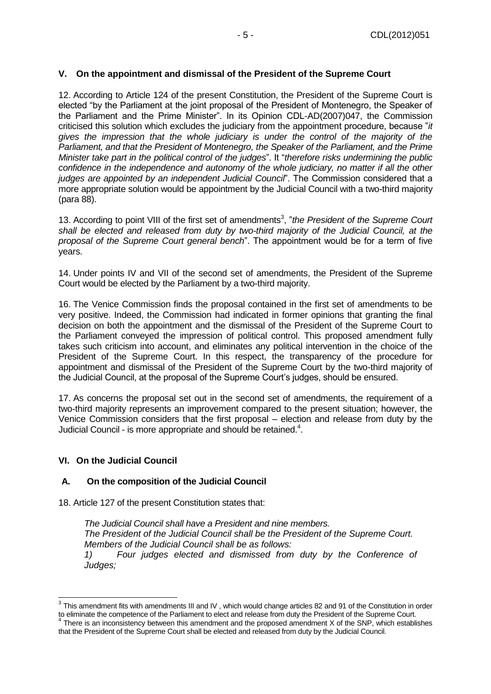## <span id="page-4-0"></span>**V. On the appointment and dismissal of the President of the Supreme Court**

12. According to Article 124 of the present Constitution, the President of the Supreme Court is elected "by the Parliament at the joint proposal of the President of Montenegro, the Speaker of the Parliament and the Prime Minister". In its Opinion CDL-AD(2007)047, the Commission criticised this solution which excludes the judiciary from the appointment procedure, because "*it gives the impression that the whole judiciary is under the control of the majority of the Parliament, and that the President of Montenegro, the Speaker of the Parliament, and the Prime Minister take part in the political control of the judges*". It "*therefore risks undermining the public confidence in the independence and autonomy of the whole judiciary, no matter if all the other judges are appointed by an independent Judicial Council*". The Commission considered that a more appropriate solution would be appointment by the Judicial Council with a two-third majority (para 88).

13. According to point VIII of the first set of amendments<sup>3</sup>, "the President of the Supreme Court *shall be elected and released from duty by two-third majority of the Judicial Council, at the proposal of the Supreme Court general bench*". The appointment would be for a term of five years.

14. Under points IV and VII of the second set of amendments, the President of the Supreme Court would be elected by the Parliament by a two-third majority.

16. The Venice Commission finds the proposal contained in the first set of amendments to be very positive. Indeed, the Commission had indicated in former opinions that granting the final decision on both the appointment and the dismissal of the President of the Supreme Court to the Parliament conveyed the impression of political control. This proposed amendment fully takes such criticism into account, and eliminates any political intervention in the choice of the President of the Supreme Court. In this respect, the transparency of the procedure for appointment and dismissal of the President of the Supreme Court by the two-third majority of the Judicial Council, at the proposal of the Supreme Court's judges, should be ensured.

17. As concerns the proposal set out in the second set of amendments, the requirement of a two-third majority represents an improvement compared to the present situation; however, the Venice Commission considers that the first proposal – election and release from duty by the Judicial Council - is more appropriate and should be retained.<sup>4</sup>.

## <span id="page-4-1"></span>**VI. On the Judicial Council**

## <span id="page-4-2"></span>**A. On the composition of the Judicial Council**

18. Article 127 of the present Constitution states that:

*The Judicial Council shall have a President and nine members. The President of the Judicial Council shall be the President of the Supreme Court. Members of the Judicial Council shall be as follows: 1) Four judges elected and dismissed from duty by the Conference of Judges;*

 3 This amendment fits with amendments III and IV , which would change articles 82 and 91 of the Constitution in order to eliminate the competence of the Parliament to elect and release from duty the President of the Supreme Court.

 $4$  There is an inconsistency between this amendment and the proposed amendment X of the SNP, which establishes that the President of the Supreme Court shall be elected and released from duty by the Judicial Council.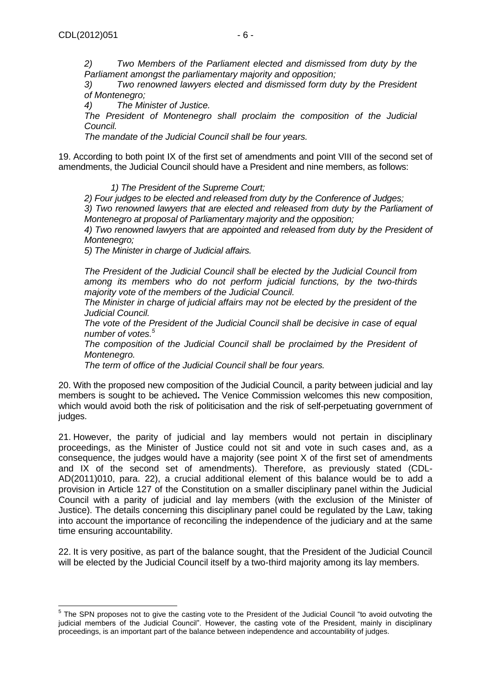*2) Two Members of the Parliament elected and dismissed from duty by the Parliament amongst the parliamentary majority and opposition;*

*3) Two renowned lawyers elected and dismissed form duty by the President of Montenegro;*

*4) The Minister of Justice.*

*The President of Montenegro shall proclaim the composition of the Judicial Council.*

*The mandate of the Judicial Council shall be four years.*

19. According to both point IX of the first set of amendments and point VIII of the second set of amendments, the Judicial Council should have a President and nine members, as follows:

 *1) The President of the Supreme Court;*

*2) Four judges to be elected and released from duty by the Conference of Judges;*

*3) Two renowned lawyers that are elected and released from duty by the Parliament of Montenegro at proposal of Parliamentary majority and the opposition;*

*4) Two renowned lawyers that are appointed and released from duty by the President of Montenegro;*

*5) The Minister in charge of Judicial affairs.*

*The President of the Judicial Council shall be elected by the Judicial Council from among its members who do not perform judicial functions, by the two-thirds majority vote of the members of the Judicial Council.*

*The Minister in charge of judicial affairs may not be elected by the president of the Judicial Council.* 

*The vote of the President of the Judicial Council shall be decisive in case of equal number of votes.<sup>5</sup>*

The composition of the Judicial Council shall be proclaimed by the President of *Montenegro.*

*The term of office of the Judicial Council shall be four years.*

20. With the proposed new composition of the Judicial Council, a parity between judicial and lay members is sought to be achieved**.** The Venice Commission welcomes this new composition, which would avoid both the risk of politicisation and the risk of self-perpetuating government of judges.

21. However, the parity of judicial and lay members would not pertain in disciplinary proceedings, as the Minister of Justice could not sit and vote in such cases and, as a consequence, the judges would have a majority (see point X of the first set of amendments and IX of the second set of amendments). Therefore, as previously stated (CDL-AD(2011)010, para. 22), a crucial additional element of this balance would be to add a provision in Article 127 of the Constitution on a smaller disciplinary panel within the Judicial Council with a parity of judicial and lay members (with the exclusion of the Minister of Justice). The details concerning this disciplinary panel could be regulated by the Law, taking into account the importance of reconciling the independence of the judiciary and at the same time ensuring accountability.

22. It is very positive, as part of the balance sought, that the President of the Judicial Council will be elected by the Judicial Council itself by a two-third majority among its lay members.

The SPN proposes not to give the casting vote to the President of the Judicial Council "to avoid outvoting the judicial members of the Judicial Council". However, the casting vote of the President, mainly in disciplinary proceedings, is an important part of the balance between independence and accountability of judges.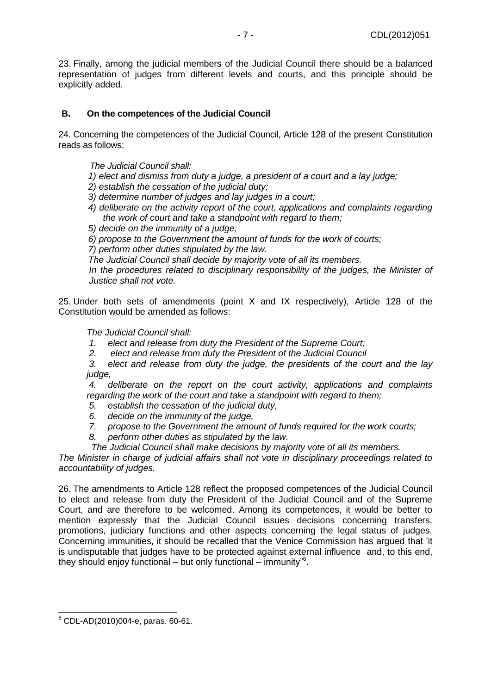23. Finally, among the judicial members of the Judicial Council there should be a balanced representation of judges from different levels and courts, and this principle should be explicitly added.

## <span id="page-6-0"></span>**B. On the competences of the Judicial Council**

24. Concerning the competences of the Judicial Council, Article 128 of the present Constitution reads as follows:

 *The Judicial Council shall:* 

*1) elect and dismiss from duty a judge, a president of a court and a lay judge;* 

*2) establish the cessation of the judicial duty;* 

- *3) determine number of judges and lay judges in a court;*
- *4) deliberate on the activity report of the court, applications and complaints regarding the work of court and take a standpoint with regard to them;*
- *5) decide on the immunity of a judge;*
- *6) propose to the Government the amount of funds for the work of courts;*

*7) perform other duties stipulated by the law.* 

*The Judicial Council shall decide by majority vote of all its members.* 

*In the procedures related to disciplinary responsibility of the judges, the Minister of Justice shall not vote.*

25. Under both sets of amendments (point X and IX respectively), Article 128 of the Constitution would be amended as follows:

*The Judicial Council shall:*

- *1. elect and release from duty the President of the Supreme Court;*
- *2. elect and release from duty the President of the Judicial Council*

*3. elect and release from duty the judge, the presidents of the court and the lay judge,*

*4. deliberate on the report on the court activity, applications and complaints regarding the work of the court and take a standpoint with regard to them;*

- *5. establish the cessation of the judicial duty,*
- *6. decide on the immunity of the judge,*
- *7. propose to the Government the amount of funds required for the work courts;*
- *8. perform other duties as stipulated by the law.*

*The Judicial Council shall make decisions by majority vote of all its members.*

*The Minister in charge of judicial affairs shall not vote in disciplinary proceedings related to accountability of judges.*

26. The amendments to Article 128 reflect the proposed competences of the Judicial Council to elect and release from duty the President of the Judicial Council and of the Supreme Court, and are therefore to be welcomed. Among its competences, it would be better to mention expressly that the Judicial Council issues decisions concerning transfers, promotions, judiciary functions and other aspects concerning the legal status of judges. Concerning immunities, it should be recalled that the Venice Commission has argued that 'it is undisputable that judges have to be protected against external influence and, to this end, they should enjoy functional – but only functional – immunity"<sup>6</sup> .

  $6$  CDL-AD(2010)004-e, paras. 60-61.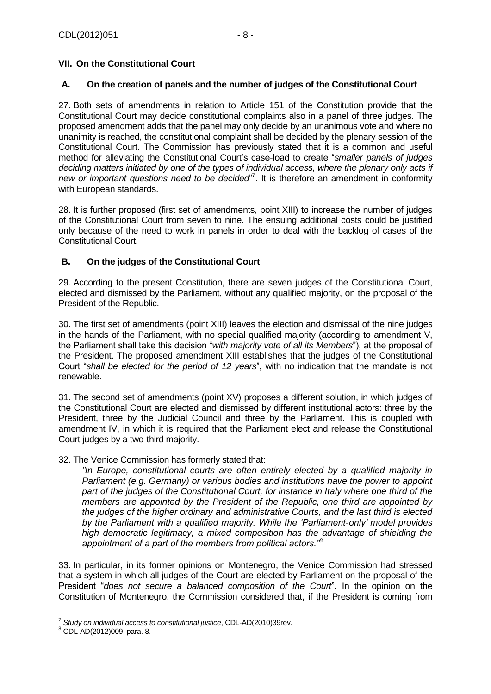## <span id="page-7-0"></span>**VII. On the Constitutional Court**

#### <span id="page-7-1"></span>**A. On the creation of panels and the number of judges of the Constitutional Court**

27. Both sets of amendments in relation to Article 151 of the Constitution provide that the Constitutional Court may decide constitutional complaints also in a panel of three judges. The proposed amendment adds that the panel may only decide by an unanimous vote and where no unanimity is reached, the constitutional complaint shall be decided by the plenary session of the Constitutional Court. The Commission has previously stated that it is a common and useful method for alleviating the Constitutional Court's case-load to create "*smaller panels of judges deciding matters initiated by one of the types of individual access, where the plenary only acts if new or important questions need to be decided*" 7 . It is therefore an amendment in conformity with European standards.

28. It is further proposed (first set of amendments, point XIII) to increase the number of judges of the Constitutional Court from seven to nine. The ensuing additional costs could be justified only because of the need to work in panels in order to deal with the backlog of cases of the Constitutional Court.

## <span id="page-7-2"></span>**B. On the judges of the Constitutional Court**

29. According to the present Constitution, there are seven judges of the Constitutional Court, elected and dismissed by the Parliament, without any qualified majority, on the proposal of the President of the Republic.

30. The first set of amendments (point XIII) leaves the election and dismissal of the nine judges in the hands of the Parliament, with no special qualified majority (according to amendment V, the Parliament shall take this decision "*with majority vote of all its Members*"), at the proposal of the President. The proposed amendment XIII establishes that the judges of the Constitutional Court "*shall be elected for the period of 12 years*", with no indication that the mandate is not renewable.

31. The second set of amendments (point XV) proposes a different solution, in which judges of the Constitutional Court are elected and dismissed by different institutional actors: three by the President, three by the Judicial Council and three by the Parliament. This is coupled with amendment IV, in which it is required that the Parliament elect and release the Constitutional Court judges by a two-third majority.

## 32. The Venice Commission has formerly stated that:

*"In Europe, constitutional courts are often entirely elected by a qualified majority in Parliament (e.g. Germany) or various bodies and institutions have the power to appoint part of the judges of the Constitutional Court, for instance in Italy where one third of the members are appointed by the President of the Republic, one third are appointed by the judges of the higher ordinary and administrative Courts, and the last third is elected by the Parliament with a qualified majority. While the 'Parliament-only' model provides high democratic legitimacy, a mixed composition has the advantage of shielding the appointment of a part of the members from political actors."<sup>8</sup>*

33. In particular, in its former opinions on Montenegro, the Venice Commission had stressed that a system in which all judges of the Court are elected by Parliament on the proposal of the President "*does not secure a balanced composition of the Court*"**.** In the opinion on the Constitution of Montenegro, the Commission considered that, if the President is coming from

 7 *Study on individual access to constitutional justice*, CDL-AD(2010)39rev.

<sup>8</sup> CDL-AD(2012)009, para. 8.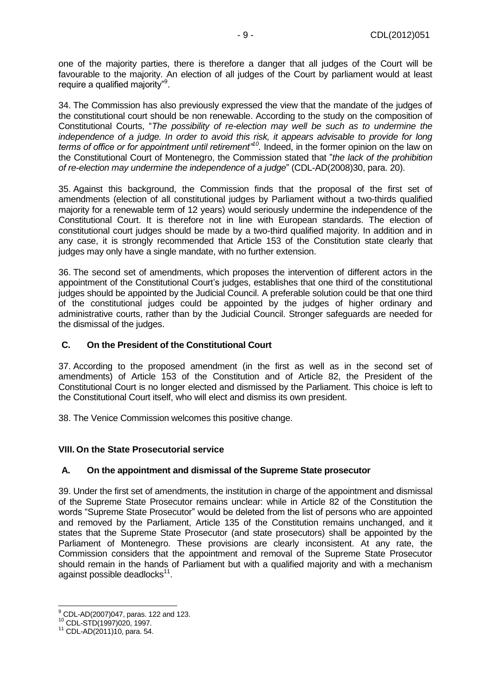one of the majority parties, there is therefore a danger that all judges of the Court will be favourable to the majority. An election of all judges of the Court by parliament would at least require a qualified majority"<sup>9</sup>.

34. The Commission has also previously expressed the view that the mandate of the judges of the constitutional court should be non renewable. According to the study on the composition of Constitutional Courts, "*The possibility of re-election may well be such as to undermine the independence of a judge. In order to avoid this risk, it appears advisable to provide for long terms of office or for appointment until retirement"<sup>10</sup> .* Indeed, in the former opinion on the law on the Constitutional Court of Montenegro, the Commission stated that "*the lack of the prohibition of re-election may undermine the independence of a judge*" (CDL-AD(2008)30, para. 20).

35. Against this background, the Commission finds that the proposal of the first set of amendments (election of all constitutional judges by Parliament without a two-thirds qualified majority for a renewable term of 12 years) would seriously undermine the independence of the Constitutional Court. It is therefore not in line with European standards. The election of constitutional court judges should be made by a two-third qualified majority. In addition and in any case, it is strongly recommended that Article 153 of the Constitution state clearly that judges may only have a single mandate, with no further extension.

36. The second set of amendments, which proposes the intervention of different actors in the appointment of the Constitutional Court's judges, establishes that one third of the constitutional judges should be appointed by the Judicial Council. A preferable solution could be that one third of the constitutional judges could be appointed by the judges of higher ordinary and administrative courts, rather than by the Judicial Council. Stronger safeguards are needed for the dismissal of the judges.

## <span id="page-8-0"></span>**C. On the President of the Constitutional Court**

37. According to the proposed amendment (in the first as well as in the second set of amendments) of Article 153 of the Constitution and of Article 82, the President of the Constitutional Court is no longer elected and dismissed by the Parliament. This choice is left to the Constitutional Court itself, who will elect and dismiss its own president.

38. The Venice Commission welcomes this positive change.

## <span id="page-8-1"></span>**VIII. On the State Prosecutorial service**

## <span id="page-8-2"></span>**A. On the appointment and dismissal of the Supreme State prosecutor**

39. Under the first set of amendments, the institution in charge of the appointment and dismissal of the Supreme State Prosecutor remains unclear: while in Article 82 of the Constitution the words "Supreme State Prosecutor" would be deleted from the list of persons who are appointed and removed by the Parliament, Article 135 of the Constitution remains unchanged, and it states that the Supreme State Prosecutor (and state prosecutors) shall be appointed by the Parliament of Montenegro. These provisions are clearly inconsistent. At any rate, the Commission considers that the appointment and removal of the Supreme State Prosecutor should remain in the hands of Parliament but with a qualified majority and with a mechanism against possible deadlocks $^{11}$ .

 $\overline{\phantom{a}}$  $^{9}$  CDL-AD(2007)047, paras. 122 and 123.

<sup>10</sup> CDL-STD(1997)020, 1997.

<sup>11</sup> CDL-AD(2011)10, para. 54.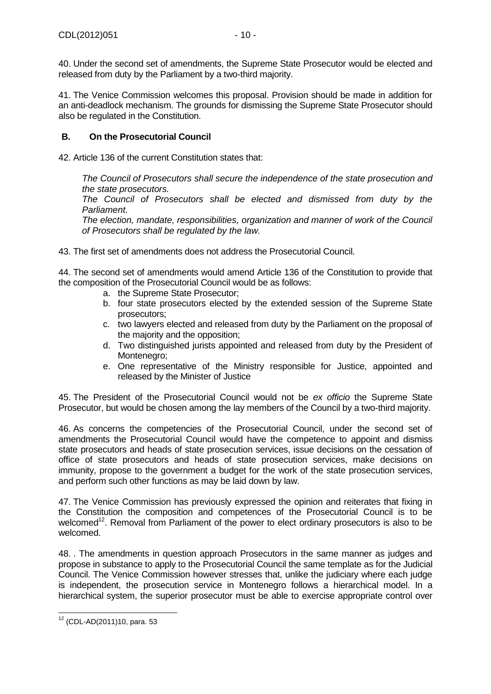41. The Venice Commission welcomes this proposal. Provision should be made in addition for an anti-deadlock mechanism. The grounds for dismissing the Supreme State Prosecutor should also be regulated in the Constitution.

## <span id="page-9-0"></span>**B. On the Prosecutorial Council**

42. Article 136 of the current Constitution states that:

*The Council of Prosecutors shall secure the independence of the state prosecution and the state prosecutors.* 

*The Council of Prosecutors shall be elected and dismissed from duty by the Parliament.* 

*The election, mandate, responsibilities, organization and manner of work of the Council of Prosecutors shall be regulated by the law.*

43. The first set of amendments does not address the Prosecutorial Council.

44. The second set of amendments would amend Article 136 of the Constitution to provide that the composition of the Prosecutorial Council would be as follows:

- a. the Supreme State Prosecutor;
- b. four state prosecutors elected by the extended session of the Supreme State prosecutors;
- c. two lawyers elected and released from duty by the Parliament on the proposal of the majority and the opposition;
- d. Two distinguished jurists appointed and released from duty by the President of Montenegro;
- e. One representative of the Ministry responsible for Justice, appointed and released by the Minister of Justice

45. The President of the Prosecutorial Council would not be *ex officio* the Supreme State Prosecutor, but would be chosen among the lay members of the Council by a two-third majority.

46. As concerns the competencies of the Prosecutorial Council, under the second set of amendments the Prosecutorial Council would have the competence to appoint and dismiss state prosecutors and heads of state prosecution services, issue decisions on the cessation of office of state prosecutors and heads of state prosecution services, make decisions on immunity, propose to the government a budget for the work of the state prosecution services, and perform such other functions as may be laid down by law.

47. The Venice Commission has previously expressed the opinion and reiterates that fixing in the Constitution the composition and competences of the Prosecutorial Council is to be welcomed<sup>12</sup>. Removal from Parliament of the power to elect ordinary prosecutors is also to be welcomed.

48. . The amendments in question approach Prosecutors in the same manner as judges and propose in substance to apply to the Prosecutorial Council the same template as for the Judicial Council. The Venice Commission however stresses that, unlike the judiciary where each judge is independent, the prosecution service in Montenegro follows a hierarchical model. In a hierarchical system, the superior prosecutor must be able to exercise appropriate control over

 $\overline{a}$ <sup>12</sup> (CDL-AD(2011)10, para. 53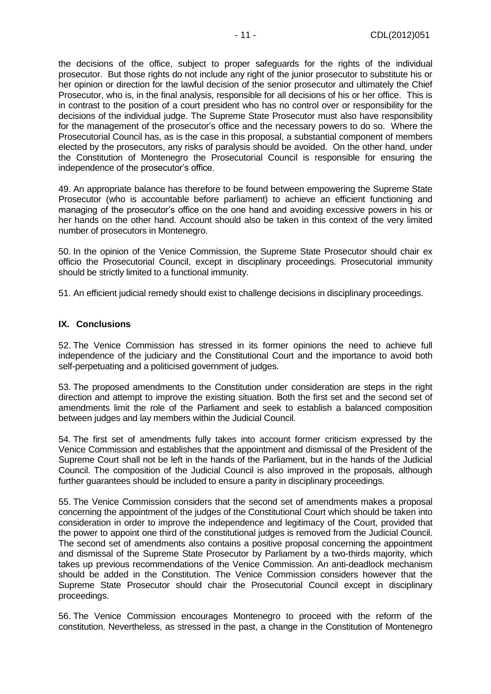the decisions of the office, subject to proper safeguards for the rights of the individual prosecutor. But those rights do not include any right of the junior prosecutor to substitute his or her opinion or direction for the lawful decision of the senior prosecutor and ultimately the Chief Prosecutor, who is, in the final analysis, responsible for all decisions of his or her office. This is in contrast to the position of a court president who has no control over or responsibility for the decisions of the individual judge. The Supreme State Prosecutor must also have responsibility for the management of the prosecutor's office and the necessary powers to do so. Where the Prosecutorial Council has, as is the case in this proposal, a substantial component of members elected by the prosecutors, any risks of paralysis should be avoided. On the other hand, under the Constitution of Montenegro the Prosecutorial Council is responsible for ensuring the independence of the prosecutor's office.

49. An appropriate balance has therefore to be found between empowering the Supreme State Prosecutor (who is accountable before parliament) to achieve an efficient functioning and managing of the prosecutor's office on the one hand and avoiding excessive powers in his or her hands on the other hand. Account should also be taken in this context of the very limited number of prosecutors in Montenegro.

50. In the opinion of the Venice Commission, the Supreme State Prosecutor should chair ex officio the Prosecutorial Council, except in disciplinary proceedings. Prosecutorial immunity should be strictly limited to a functional immunity.

51. An efficient judicial remedy should exist to challenge decisions in disciplinary proceedings.

## <span id="page-10-0"></span>**IX. Conclusions**

52. The Venice Commission has stressed in its former opinions the need to achieve full independence of the judiciary and the Constitutional Court and the importance to avoid both self-perpetuating and a politicised government of judges.

53. The proposed amendments to the Constitution under consideration are steps in the right direction and attempt to improve the existing situation. Both the first set and the second set of amendments limit the role of the Parliament and seek to establish a balanced composition between judges and lay members within the Judicial Council.

54. The first set of amendments fully takes into account former criticism expressed by the Venice Commission and establishes that the appointment and dismissal of the President of the Supreme Court shall not be left in the hands of the Parliament, but in the hands of the Judicial Council. The composition of the Judicial Council is also improved in the proposals, although further guarantees should be included to ensure a parity in disciplinary proceedings.

55. The Venice Commission considers that the second set of amendments makes a proposal concerning the appointment of the judges of the Constitutional Court which should be taken into consideration in order to improve the independence and legitimacy of the Court, provided that the power to appoint one third of the constitutional judges is removed from the Judicial Council. The second set of amendments also contains a positive proposal concerning the appointment and dismissal of the Supreme State Prosecutor by Parliament by a two-thirds majority, which takes up previous recommendations of the Venice Commission. An anti-deadlock mechanism should be added in the Constitution. The Venice Commission considers however that the Supreme State Prosecutor should chair the Prosecutorial Council except in disciplinary proceedings.

56. The Venice Commission encourages Montenegro to proceed with the reform of the constitution. Nevertheless, as stressed in the past, a change in the Constitution of Montenegro